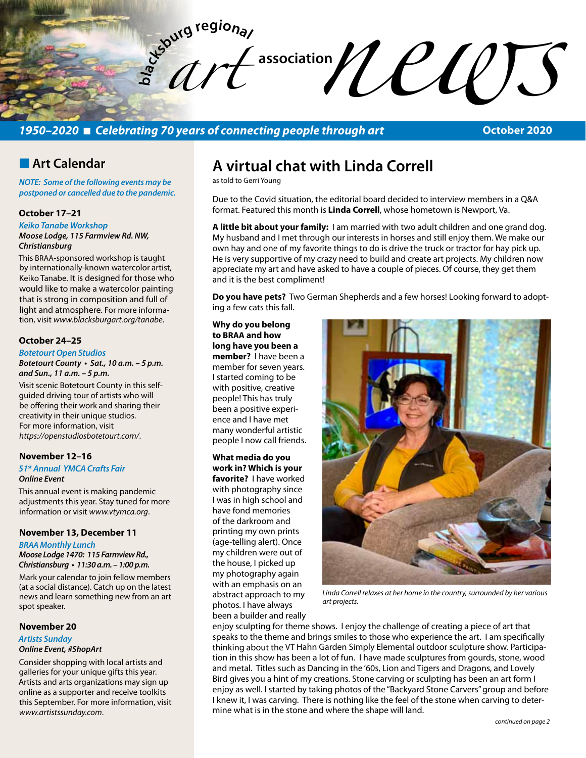**bla** Exercise the discretion of association of the discretion of the discretion of the discretion of the discretion of the discretion of the discretion of the contracting people through art october 2020 *art* 

# *1950–2020* n *Celebrating 70 years of connecting people through art*

**October 2020**

# **n** Art Calendar

*NOTE: Some of the following events may be postponed or cancelled due to the pandemic.* 

## **October 17–21**

*Keiko Tanabe Workshop Moose Lodge, 115 Farmview Rd. NW, Christiansburg* 

This BRAA-sponsored workshop is taught by internationally-known watercolor artist, Keiko Tanabe. It is designed for those who would like to make a watercolor painting that is strong in composition and full of light and atmosphere. For more information, visit *www.blacksburgart.org/tanabe*.

#### **October 24–25**

#### *Botetourt Open Studios*

**Botetourt County • Sat., 10 a.m. – 5 p.m. and Sun., 11 a.m. – 5 p.m.**

Visit scenic Botetourt County in this selfguided driving tour of artists who will be offering their work and sharing their creativity in their unique studios. For more information, visit *https://openstudiosbotetourt.com/*.

# **November 12–16**

## *51st Annual YMCA Crafts Fair Online Event*

This annual event is making pandemic adjustments this year. Stay tuned for more information or visit *www.vtymca.org*.

### **November 13, December 11**

#### *BRAA Monthly Lunch*

**Moose Lodge 1470: 115 Farmview Rd., Christiansburg • 11:30 a.m. – 1:00 p.m.** 

Mark your calendar to join fellow members (at a social distance). Catch up on the latest news and learn something new from an art spot speaker.

## **November 20**

#### *Artists Sunday Online Event, #ShopArt*

Consider shopping with local artists and galleries for your unique gifts this year. Artists and arts organizations may sign up online as a supporter and receive toolkits this September. For more information, visit *www.artistssunday.com*.

# **A virtual chat with Linda Correll**

as told to Gerri Young

Due to the Covid situation, the editorial board decided to interview members in a Q&A format. Featured this month is **Linda Correll**, whose hometown is Newport, Va.

**A little bit about your family:** I am married with two adult children and one grand dog. My husband and I met through our interests in horses and still enjoy them. We make our own hay and one of my favorite things to do is drive the truck or tractor for hay pick up. He is very supportive of my crazy need to build and create art projects. My children now appreciate my art and have asked to have a couple of pieces. Of course, they get them and it is the best compliment!

**Do you have pets?** Two German Shepherds and a few horses! Looking forward to adopting a few cats this fall.

## **Why do you belong to BRAA and how**

**long have you been a member?** I have been a member for seven years. I started coming to be with positive, creative people! This has truly been a positive experience and I have met many wonderful artistic people I now call friends.

### **What media do you work in? Which is your favorite?** I have worked with photography since I was in high school and have fond memories of the darkroom and printing my own prints (age-telling alert). Once my children were out of the house, I picked up my photography again with an emphasis on an abstract approach to my photos. I have always been a builder and really



*Linda Correll relaxes at her home in the country, surrounded by her various art projects.*

enjoy sculpting for theme shows. I enjoy the challenge of creating a piece of art that speaks to the theme and brings smiles to those who experience the art. I am specifically thinking about the VT Hahn Garden Simply Elemental outdoor sculpture show. Participation in this show has been a lot of fun. I have made sculptures from gourds, stone, wood and metal. Titles such as Dancing in the '60s, Lion and Tigers and Dragons, and Lovely Bird gives you a hint of my creations. Stone carving or sculpting has been an art form I enjoy as well. I started by taking photos of the "Backyard Stone Carvers" group and before I knew it, I was carving. There is nothing like the feel of the stone when carving to determine what is in the stone and where the shape will land.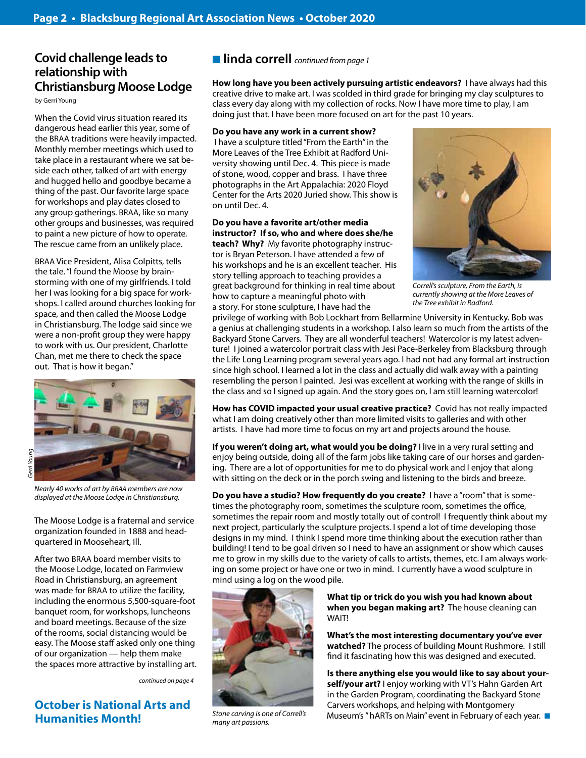# **Covid challenge leads to relationship with Christiansburg Moose Lodge**

by Gerri Young

When the Covid virus situation reared its dangerous head earlier this year, some of the BRAA traditions were heavily impacted. Monthly member meetings which used to take place in a restaurant where we sat beside each other, talked of art with energy and hugged hello and goodbye became a thing of the past. Our favorite large space for workshops and play dates closed to any group gatherings. BRAA, like so many other groups and businesses, was required to paint a new picture of how to operate. The rescue came from an unlikely place.

BRAA Vice President, Alisa Colpitts, tells the tale. "I found the Moose by brainstorming with one of my girlfriends. I told her I was looking for a big space for workshops. I called around churches looking for space, and then called the Moose Lodge in Christiansburg. The lodge said since we were a non-profit group they were happy to work with us. Our president, Charlotte Chan, met me there to check the space out. That is how it began."



*Nearly 40 works of art by BRAA members are now displayed at the Moose Lodge in Christiansburg.*

The Moose Lodge is a fraternal and service organization founded in 1888 and headquartered in Mooseheart, Ill.

After two BRAA board member visits to the Moose Lodge, located on Farmview Road in Christiansburg, an agreement was made for BRAA to utilize the facility, including the enormous 5,500-square-foot banquet room, for workshops, luncheons and board meetings. Because of the size of the rooms, social distancing would be easy. The Moose staff asked only one thing of our organization — help them make the spaces more attractive by installing art.

*continued on page 4*

## **October is National Arts and Humanities Month!**

n **linda correll** *continued from page 1*

**How long have you been actively pursuing artistic endeavors?** I have always had this creative drive to make art. I was scolded in third grade for bringing my clay sculptures to class every day along with my collection of rocks. Now I have more time to play, I am doing just that. I have been more focused on art for the past 10 years.

#### **Do you have any work in a current show?**

 I have a sculpture titled "From the Earth" in the More Leaves of the Tree Exhibit at Radford University showing until Dec. 4. This piece is made of stone, wood, copper and brass. I have three photographs in the Art Appalachia: 2020 Floyd Center for the Arts 2020 Juried show. This show is on until Dec. 4.

#### **Do you have a favorite art/other media instructor? If so, who and where does she/he**

**teach? Why?** My favorite photography instructor is Bryan Peterson. I have attended a few of his workshops and he is an excellent teacher. His story telling approach to teaching provides a great background for thinking in real time about how to capture a meaningful photo with a story. For stone sculpture, I have had the



*Correll's sculpture, From the Earth, is currently showing at the More Leaves of the Tree exhibit in Radford.*

privilege of working with Bob Lockhart from Bellarmine University in Kentucky. Bob was a genius at challenging students in a workshop. I also learn so much from the artists of the Backyard Stone Carvers. They are all wonderful teachers! Watercolor is my latest adventure! I joined a watercolor portrait class with Jesi Pace-Berkeley from Blacksburg through the Life Long Learning program several years ago. I had not had any formal art instruction since high school. I learned a lot in the class and actually did walk away with a painting resembling the person I painted. Jesi was excellent at working with the range of skills in the class and so I signed up again. And the story goes on, I am still learning watercolor!

**How has COVID impacted your usual creative practice?** Covid has not really impacted what I am doing creatively other than more limited visits to galleries and with other artists. I have had more time to focus on my art and projects around the house.

**If you weren't doing art, what would you be doing?** I live in a very rural setting and enjoy being outside, doing all of the farm jobs like taking care of our horses and gardening. There are a lot of opportunities for me to do physical work and I enjoy that along with sitting on the deck or in the porch swing and listening to the birds and breeze.

**Do you have a studio? How frequently do you create?** I have a "room" that is sometimes the photography room, sometimes the sculpture room, sometimes the office, sometimes the repair room and mostly totally out of control! I frequently think about my next project, particularly the sculpture projects. I spend a lot of time developing those designs in my mind. I think I spend more time thinking about the execution rather than building! I tend to be goal driven so I need to have an assignment or show which causes me to grow in my skills due to the variety of calls to artists, themes, etc. I am always working on some project or have one or two in mind. I currently have a wood sculpture in mind using a log on the wood pile.



*Stone carving is one of Correll's many art passions.*

**What tip or trick do you wish you had known about when you began making art?** The house cleaning can WAIT!

**What's the most interesting documentary you've ever watched?** The process of building Mount Rushmore. I still find it fascinating how this was designed and executed.

**Is there anything else you would like to say about yourself/your art?** I enjoy working with VT's Hahn Garden Art in the Garden Program, coordinating the Backyard Stone Carvers workshops, and helping with Montgomery Museum's " hARTs on Main" event in February of each year.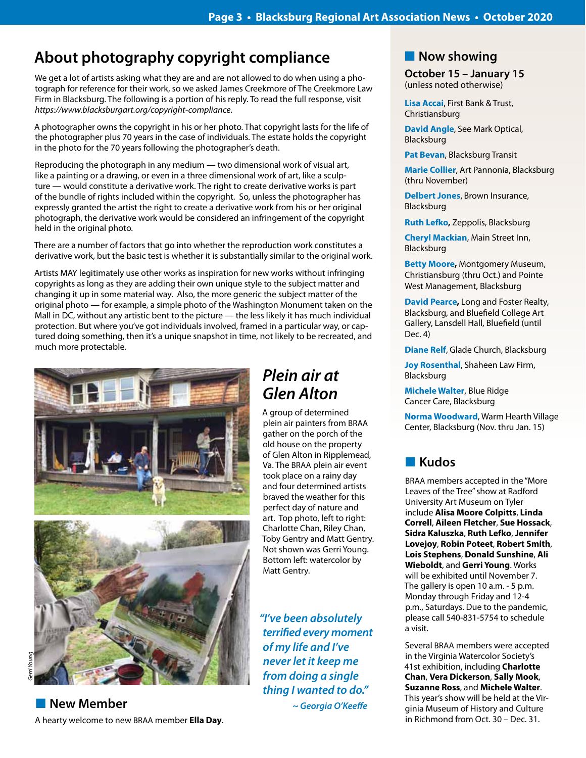# **About photography copyright compliance**

We get a lot of artists asking what they are and are not allowed to do when using a photograph for reference for their work, so we asked James Creekmore of The Creekmore Law Firm in Blacksburg. The following is a portion of his reply. To read the full response, visit *https://www.blacksburgart.org/copyright-compliance*.

A photographer owns the copyright in his or her photo. That copyright lasts for the life of the photographer plus 70 years in the case of individuals. The estate holds the copyright in the photo for the 70 years following the photographer's death.

Reproducing the photograph in any medium — two dimensional work of visual art, like a painting or a drawing, or even in a three dimensional work of art, like a sculpture — would constitute a derivative work. The right to create derivative works is part of the bundle of rights included within the copyright. So, unless the photographer has expressly granted the artist the right to create a derivative work from his or her original photograph, the derivative work would be considered an infringement of the copyright held in the original photo.

There are a number of factors that go into whether the reproduction work constitutes a derivative work, but the basic test is whether it is substantially similar to the original work.

Artists MAY legitimately use other works as inspiration for new works without infringing copyrights as long as they are adding their own unique style to the subject matter and changing it up in some material way. Also, the more generic the subject matter of the original photo — for example, a simple photo of the Washington Monument taken on the Mall in DC, without any artistic bent to the picture — the less likely it has much individual protection. But where you've got individuals involved, framed in a particular way, or captured doing something, then it's a unique snapshot in time, not likely to be recreated, and much more protectable.





**New Member** A hearty welcome to new BRAA member **Ella Day**.

# *Plein air at Glen Alton*

A group of determined plein air painters from BRAA gather on the porch of the old house on the property of Glen Alton in Ripplemead, Va. The BRAA plein air event took place on a rainy day and four determined artists braved the weather for this perfect day of nature and art. Top photo, left to right: Charlotte Chan, Riley Chan, Toby Gentry and Matt Gentry. Not shown was Gerri Young. Bottom left: watercolor by Matt Gentry.

*"I've been absolutely terrified every moment of my life and I've never let it keep me from doing a single thing I wanted to do." ~ Georgia O'Keeffe*

# **Now showing**

**October 15 – January 15** (unless noted otherwise)

**Lisa Accai**, First Bank & Trust, Christiansburg

**David Angle**, See Mark Optical, Blacksburg

**Pat Bevan**, Blacksburg Transit

**Marie Collier**, Art Pannonia, Blacksburg (thru November)

**Delbert Jones**, Brown Insurance, Blacksburg

**Ruth Lefko,** Zeppolis, Blacksburg

**Cheryl Mackian**, Main Street Inn, Blacksburg

**Betty Moore,** Montgomery Museum, Christiansburg (thru Oct.) and Pointe West Management, Blacksburg

**David Pearce,** Long and Foster Realty, Blacksburg, and Bluefield College Art Gallery, Lansdell Hall, Bluefield (until Dec. 4)

**Diane Relf**, Glade Church, Blacksburg

**Joy Rosenthal**, Shaheen Law Firm, Blacksburg

**Michele Walter**, Blue Ridge Cancer Care, Blacksburg

**Norma Woodward**, Warm Hearth Village Center, Blacksburg (Nov. thru Jan. 15)

# n **Kudos**

BRAA members accepted in the "More Leaves of the Tree" show at Radford University Art Museum on Tyler include **Alisa Moore Colpitts**, **Linda Correll**, **Aileen Fletcher**, **Sue Hossack**, **Sidra Kaluszka**, **Ruth Lefko**, **Jennifer Lovejoy**, **Robin Poteet**, **Robert Smith**, **Lois Stephens**, **Donald Sunshine**, **Ali Wieboldt**, and **Gerri Young**. Works will be exhibited until November 7. The gallery is open 10 a.m. - 5 p.m. Monday through Friday and 12-4 p.m., Saturdays. Due to the pandemic, please call 540-831-5754 to schedule a visit.

Several BRAA members were accepted in the Virginia Watercolor Society's 41st exhibition, including **Charlotte Chan**, **Vera Dickerson**, **Sally Mook**, **Suzanne Ross**, and **Michele Walter**. This year's show will be held at the Virginia Museum of History and Culture in Richmond from Oct. 30 – Dec. 31.